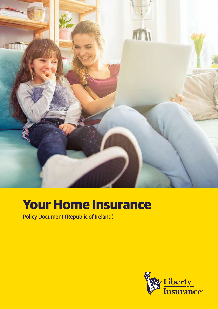

# **Your Home Insurance**

Policy Document (Republic of Ireland)

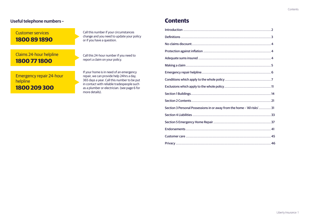# **Useful telephone numbers – Contents**

# Customer services **1800 89 1890**

# Claims 24-hour helpline **1800 77 1800**

Call this number if your circumstances change and you need to update your policy or if you have a question.

Call this 24-hour number if you need to report a claim on your policy.

Emergency repair 24-hour helpline **1800 209 300**

If your home is in need of an emergency repair, we can provide help 24hrs a day, 365 days a year. Call this number to be put in contact with reliable tradespeople such as a plumber or electrician. (see page 6 for more details).

| Section 3 Personal Possessions in or away from the home - 'All risks'31 |
|-------------------------------------------------------------------------|
|                                                                         |
|                                                                         |
|                                                                         |
|                                                                         |
|                                                                         |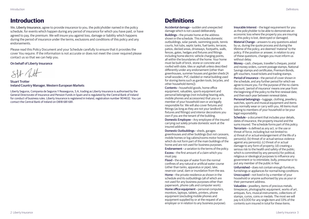# <span id="page-2-0"></span>**Introduction**

We, Liberty Insurance, agree to provide insurance to you, the policyholder named in the policy schedule, for events which happen during any period of insurance for which you have paid, or have agreed to pay, the premium. We will insure you against loss, damage or liability which happens during the period of insurance under the terms, exclusions and conditions of this policy and any endorsements.

Please read this Policy Document and your Schedule carefully to ensure that it provides the cover You require. If the information is not accurate or does not meet the cover required please contact us so that we can help you.

On behalf of Liberty Insurance

Stuart Trotter Ireland Country Manager, Western European Markets

Liberty Seguros, Compania de Seguros Y Reaseguros, S.A, trading as Liberty Insurance is authorised by the General Directorate of Insurance and Pension Funds in Spain and is regulated by the Central Bank of Ireland for conduct of business rules. Liberty Insurance is registered in Ireland, registration number 904632. You can contact the Central Bank of Ireland on 0818 681 681.

# **Definitions**

Accidental damage – sudden and unexpected damage which is not caused deliberately.

Buildings – the private home at the address shown in the schedule. This includes domestic outbuildings, solar panels, swimming pools, tennis courts, hot tubs, septic tanks, fuel tanks, terraces, patios, decked areas, driveways, footpaths, walls, fences, gates, hedges and fixtures and fittings including home electric vehicle charging points, all within the boundaries of the home. Your home must be built of brick, stone or concrete and roofed with slate, tiles or asphalt unless described differently under any endorsement (other than greenhouses, summer houses and garden sheds [A small wooden, PVC cladded or metal building used for storing items such as garden tools, bicycles, and other household items]).

Contents – household goods, home office equipment, valuables, sports equipment and personal belongings (not including hearing aids, mobile phones and accessories) that you or a member of your household own or are legally responsible for. We will also cover fixtures and fittings (as long as they are not your landlord's fixtures and fittings) and interior decorations you own if you are the tenant of the building.

Domestic Employee – Any employee of the insured carrying out solely private domestic work at the insured address.

Domestic Outbuildings – sheds, garages greenhouses and other buildings (but not caravans, mobile homes or log cabins/rooms motor homes), which do not form part of the main buildings of the home and are not used for business purposes.

Endorsement – a variation to the terms of the policy. Excess – the first amount of a claim which you must pay.

Flood – the escape of water from the normal confines of any natural or artificial water course (other than tanks, apparatus or pipe), lake, reservoir canal, dam or inundation from the sea. Home – the private residence as shown in the schedule and its outbuildings (all of which are not used for any business purposes other than paperwork, phone calls and computer work).

Home office equipment – personal computers, monitors, laptops, tablets, printers, phone equipment (excluding mobile phones and equipment supplied by or at the request of an employer or in relation to any business purpose). Insurable Interest – the legal requirement for you as the policyholder to be able to demonstrate an economic loss where the property you are insuring on this policy is lost, destroyed or damaged.

Material Change – answers to any questions asked by us, during the quote process and during the lifetime of the policy, are deemed 'material' to the policy. If the position or answer, in relation to any of these questions, changes you must inform us without delay.

Money – cash, cheques, traveller's cheques, postal and money orders, current postage stamps, National Savings stamps and certificates, Premium Bonds, gift vouchers, travel tickets and trading stamps.

Period of insurance – the period of cover shown in the schedule, and any further period for which we agree to insure you. For the purpose of the no-claims discount, 'period of insurance' means one year from the beginning of the policy to the first renewal date, and then each year between renewal dates.

Personal belongings – luggage, clothing, jewellery, watches, sports and musical equipment and items you normally wear or carry with you. All items must belong to members of your household or be your legal responsibility.

Schedule – a document that includes your details, dates of insurance, the property insured and the sums insured. The schedule forms part of this policy.

Terrorism – is defined as any act, or the use or threat of force, including but not limited to: a) threat of or actual endangerment of the life of a person(s); (b) threat of or actual serious violence against any person(s); (c) threat of or actual damage to any form of property; (d) creating a serious risk to the health and safety of the public; which is committed by any person(s) for political. religious or ideological purposes to influence any government or to intimidate, bully, pressurise or to put any member of the public in fear.

Unfurnished – does not contain enough furniture, furnishings or appliances for normal living conditions Unoccupied – not lived in by a member of your household or anyone authorised by you as your or their permanent address.

Valuables – jewellery, items of precious metals, timepieces, photographic equipment, works of art, antiques, furs, musical instruments, collections of stamps, curios, coins or medals. The most we will pay is €3,000 for any single item and 33% of the contents sum insured in total for these items.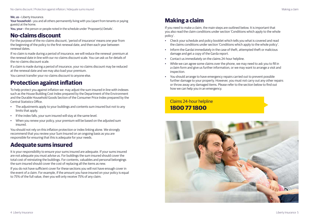#### <span id="page-3-0"></span>We, us - Liberty Insurance.

Your household - you and all others permanently living with you (apart from tenants or paying guests) at the home.

You, your – the person or people noted in the schedule under 'Proposer(s) Details'.

# **No-claims discount**

For the purpose of the no-claims discount, 'period of insurance' means one year from the beginning of the policy to the first renewal date, and then each year between renewal dates.

If no claim is made during a period of insurance, we will reduce the renewal premium at the renewal date in line with our no-claims discount scale. You can ask us for details of the no-claims discount scale.

If a claim is made during a period of insurance, your no claims discount may be reduced at the renewal date and we may also load your premium.

You cannot transfer your no-claims discount to anyone else.

# **Protection against inflation**

To help protect you against inflation we may adjust the sum insured in line with indexes such as the House Building Cost Index prepared by the Department of the Environment and the Durable Household Goods Section of the Consumer Price Index prepared by the Central Statistics Office.

- The adjustments apply to your buildings and contents sum insured but not to any limits that apply.
- If the index falls, your sum insured will stay at the same level.
- When you renew your policy, your premium will be based on the adjusted sum insured.

You should not rely on this inflation protection or index linking alone. We strongly recommend that you review your Sum Insured on an ongoing basis as you are responsible for ensuring that this is adequate for your needs.

# **Adequate sums insured**

It is your responsibility to ensure your sums insured are adequate. If your sums insured are not adequate you must advise us. For buildings the sum insured should cover the total cost of reinstating the buildings. For contents, valuables and personal belongings the sum insured should cover the cost of replacing all the items as new.

If you do not have sufficient cover for these sections you will not have enough cover in the event of a claim. For example, if the amount you have insured on your policy is equal to 75% of the full value, then you will only receive 75% of any claim.

# **Making a claim**

If you need to make a claim, the main steps are outlined below. It is important that you also read the claim conditions under section 'Conditions which apply to the whole policy'.

- Check your schedule and policy booklet which tells you what is covered and read the claims conditions under section 'Conditions which apply to the whole policy'.
- Inform the Gardai immediately in the case of theft, attempted theft or malicious damage and get a copy of the Garda report.
- Contact us immediately on the claims 24-hour helpline.
- While we can agree some claims over the phone, we may need to ask you to fill in a claim form and give us further information, or we may want to arrange a visit and inspection.
- You should arrange to have emergency repairs carried out to prevent possible further damage to your property. However, you must not carry out any other repairs or throw away any damaged items. Please refer to the section below to find out how we can help you in an emergency.

Claims 24-hour helpline **1800 77 1800**

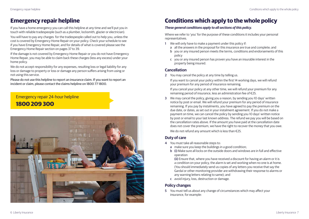# <span id="page-4-0"></span>**Emergency repair helpline**

If you have a home emergency you can call this helpline at any time and we'll put you in *These general conditions apply to all sections of this policy.* touch with reliable tradespeople (such as a plumber, locksmith, glazier or electrician).

You will have to pay any charges for the tradespeople called out to help you, unless the cost is covered by Emergency Home Repair on your policy. Check your schedule to see if you have Emergency Home Repair, and for details of what is covered please see the Emergency Home Repair section on pages 37 to 39.

If the damage is not covered by Emergency Home Repair or you do not have Emergency Home Repair, you may be able to claim back these charges (less any excess) under your home policy.

We do not accept responsibility for any expenses, resulting loss or legal liability for any loss or damage to property or loss or damage any person suffers arising from using or not using this service.

Please do not use this helpline to report an insurance claim. If you want to report an incident or claim, please contact the claims helpline on 1800 77 1800.

# Emergency repair 24-hour helpline **1800 209 300**



# **Conditions which apply to the whole policy**

Where we refer to 'you' for the purpose of these conditions it includes your personal representatives.

- 1 We will only have to make a payment under this policy if:
	- a all the answers in the proposal for this insurance are true and complete; and
	- b you or any insured person meets the terms, conditions and endorsements of this policy
	- c you or any insured person has proven you have an insurable interest in the property being insured.

## **Cancellation**

2 You may cancel the policy at any time by telling us.

If you want to cancel your policy within the first 14 working days, we will refund your premium for any period of insurance remaining.

If you cancel your policy at any other time, we will refund your premium for any remaining period of insurance, less an administration fee of €25.

3 We may cancel the policy, giving you a reason, by sending you 10 days' written notice by post or email. We will refund your premium for any period of insurance remaining. If you pay by instalments, you have agreed to pay the premium on the due date, or dates, as set out in your instalment agreement. If you do not make a payment on time, we can cancel the policy by sending you 10 days' written notice by post or email to your last known address. The refund we pay you will be based on the cancellation rates above. If the amount you have paid at the cancellation date does not cover the premium, we have the right to recover the money that you owe. We do not refund any amount which is less than €25.

# **Duty of care**

- 4 You must take all reasonable steps to:
	- a make sure you keep the buildings in a good condition;
	- b (i) Make sure all locks on the outside doors and windows are in full and effective operation

(ii) Ensure that, where you have received a discount for having an alarm or it is a condition on your policy, the alarm is set and working when no one is at home. (You should immediately send us copies of any letters you receive that say the Gardaí or other monitoring provider are withdrawing their response to alarms or any warning letters relating to same); and

c avoid injury, loss, destruction or damage.

# **Policy changes**

5 You must tell us about any change of circumstances which may affect your insurance, for example: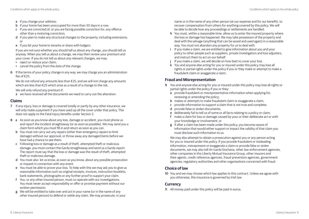- a if you change your address;
- b if your home has been unoccupied for more than 30 days in a row;
- c if you are convicted of, or you are facing possible conviction for, any offence other than a motoring conviction;
- d if you plan to make any structural changes to the property, including extensions; or
- e if you let your home to tenants or share with lodgers.

If you are not sure whether you should tell us about any change, you should tell us anyway. When you tell us about a change, we may then review your premium and your cover. If you do not tell us about any relevant changes, we may:

- reject or reduce your claim:
- cancel the policy from the date of the change.
- 6 If the terms of your policy change in any way, we may charge you an administration fee of  $£25$ .

We do not refund any amounts less than €25, and we will not charge any amounts which are less than €25 which arise as a result of a change to the risk.

We will only refund any premium if:

a we have received all the documents we need to carry out the alteration.

## **Claims**

- 7 If any injury, loss or damage is covered totally or partly by any other insurance, we will only make a payment if you have used up all the cover under that policy. This does not apply to the Fatal injury benefits under Section 2.
- 8 a As soon as you know about any loss, damage or accident, you must phone us and report the incident straightaway (or as soon as possible). We may send you a claim form which you must fill in and return as soon as you can.
	- b You must not carry out any repairs (other than emergency repairs to limit damage) without our approval, or throw away any damaged items before we have had a chance to see them.
	- c Following loss or damage as a result of theft, attempted theft or malicious damage, you must contact the Garda straightaway and send us a Garda report. The report must say that the loss or damage was the result of theft, attempted theft or malicious damage.
	- d You must also let us know, as soon as you know, about any possible prosecution or inquest in connection with any event.
	- e You must be able to prove your loss. To help with this we may ask you to give us reasonable information such as original receipts, invoices, instruction booklets, bank statements, photographs or any further proof to support your claim.
	- f You, or any other insured person, must co-operate with our investigations. You must never accept responsibility or offer or promise payment without our written permission.
	- g We will be entitled to take over and act in your name (or in the name of any other insured person) to defend or settle any claim. We may prosecute, in your

name or in the name of any other person (at our expense and for our benefit), to recover compensation from others for anything covered by this policy. We will be able to decide how any proceedings or settlements are handled.

- h You must, within a reasonable time, allow us to enter the insured property where the loss or damage has happened. We may take possession of the property and deal with the salvage (anything that can be saved and used again) in a reasonable way. You must not abandon any property for us to deal with.
- i If you make a claim, we are entitled to give information about you and your policy to other people such as suppliers, private investigators and loss adjusters, and instruct them to act on our behalf.
- j If you make a claim, we will decide on how best to cover your loss.
- k You and anyone else acting for you or insured under this policy may lose all rights or partial rights under the policy if you or they make or attempt to make a fraudulent claim or exaggerate a claim.

# **Fraud and Misrepresentation**

- 9 You and anyone else acting for you or insured under this policy may lose all rights or partial rights under the policy if you or they:
	- a provide fraudulent or misrepresentative information when applying for, renewing or amending the policy;
	- b makes or attempts to make fraudulent claim or exaggerate a claim;
	- c provide information to support a claim that is not true and complete;
	- d provide false or stolen documents;
	- e deliberately fail to tell us of some or all facts relating to a policy or claim;
	- f make a claim for loss or damage caused by your or their deliberate act or with your knowledge or involvement; or
	- g if after a claim has been made under this policy, you become aware of information that would either support or impact the validity of that claim you must disclose such information to us.

We may also attempt to obtain a prosecution against you or any person acting for you or insured under this policy. If you provide fraudulent or misleading information, misrepresent or exaggerate a claim or provide false or stolen documents, we may also tell An Garda Siochana, other law-enforcement agencies, other companies in the Liberty Mutual Insurance Group, other insurers and their agents, credit-reference agencies, fraud-prevention agencies, government agencies, regulatory authorities and other organisations concerned with fraud.

# **Choice of law**

10 You and we may choose which law applies to this contract. Unless we agree with you otherwise, this insurance is governed by Irish law.

# **Currency**

11 All money paid under this policy will be paid in euros.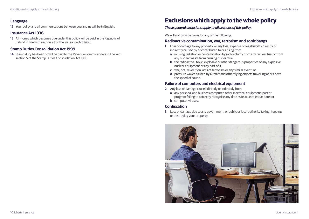<span id="page-6-0"></span>12 Your policy and all communications between you and us will be in English.

## **Insurance Act 1936**

13 All money which becomes due under this policy will be paid in the Republic of Ireland in line with section 93 of the Insurance Act 1936.

# **Stamp Duties Consolidation Act 1999**

14 Stamp duty has been or will be paid to the Revenue Commissioners in line with section 5 of the Stamp Duties Consolidation Act 1999.

# **Exclusions which apply to the whole policy**

# *These general exclusions apply to all sections of this policy.*

We will not provide cover for any of the following.

### **Radioactive contamination, war, terrorism and sonic bangs**

- 1 Loss or damage to any property, or any loss, expense or legal liability directly or indirectly caused by or contributed to or arising from:
	- a ionising radiation or contamination by radioactivity from any nuclear fuel or from any nuclear waste from burning nuclear fuel;
	- b the radioactive, toxic, explosive or other dangerous properties of any explosive nuclear equipment or any part of it;
	- c war, riot, revolution, acts of terrorism or any similar event; or
	- d pressure waves caused by aircraft and other flying objects travelling at or above the speed of sound.

## **Failure of computers and electrical equipment**

- 2 Any loss or damage caused directly or indirectly from:
	- a any personal and business computer, other electrical equipment, part or program failing to correctly recognise any date as its true calendar date; or **b** computer viruses.

# **Confiscation**

3 Loss or damage due to any government, or public or local authority taking, keeping or destroying your property.

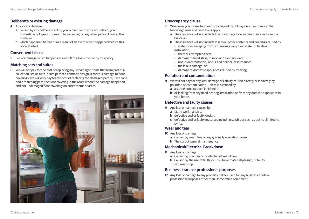# **Deliberate or existing damage**

- 4 Any loss or damage:
	- a caused by any deliberate act by you, a member of your household, your domestic employees (for example, a cleaner) or any other person living in the home; or
	- b which happened before or as a result of an event which happened before this cover started.

# **Consequential loss**

5 Loss or damage which happens as a result of a loss covered by this policy.

# **Matching sets and suites**

6 We will not pay for the cost of replacing any undamaged items that form part of a collection, set or suite, or are part of a common design. If there is damage to floor coverings, we will only pay for the cost of replacing the damaged part or, if we can't find a matching part, the floor covering in the room where the damage happened and not undamaged floor coverings in other rooms or areas.



# **Unoccupancy clause**

- 7 Whenever your home has been unoccupied for 30 days in a row or more, the following terms and conditions apply.
	- a The insurance will not include loss or damage to valuables or money from the buildings.
	- b The insurance will not include loss to all other contents and buildings caused by:
		- water or oil escaping from or freezing in any fixed water or heating installation;
		- theft or attempted theft;
		- damage to fixed glass, mirrors and sanitary-ware;
		- riot, civil commotion, labour and political disturbances;
		- malicious damage; or
		- damage to domestic appliances caused by freezing.

## **Pollution and contamination**

- 8 We will not pay for any loss, damage or liability caused directly or indirectly by pollution or contamination, unless it is caused by:
	- a a sudden unexpected incident; or
	- b oil leaking from any fixed heating installation or from any domestic appliance in your home.

# **Defective and faulty causes**

- 9 Any loss or damage caused by;
	- a faulty workmanship.
	- b defective and or faulty design.
	- c defective and or faulty materials including sulphides such as but not limited to pyrite.

## **Wear and tear**

- 10 Any loss or damage
	- a Caused by wear, tear or any gradually operating cause
	- **b** The cost of general maintenance.

# **Mechanical/Electrical Breakdown**

- 11 Any loss or damage
	- a Caused by mechanical or electrical breakdown
	- b Caused by the use of faulty or unsuitable materials/design, or faulty workmanship

## **Business, trade or professional purposes**

12 Any loss or damage to any property held or used for any business, trade or professional purposes other than Home office equipment.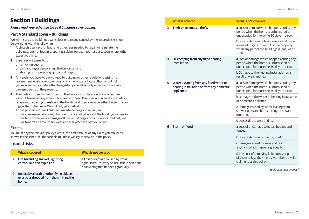# <span id="page-8-0"></span>**Section 1 Buildings**

#### *Please read your schedule to see if buildings cover applies.*

### **Part A Standard cover – Buildings**

We will insure the buildings against loss or damage caused by the insured risks shown below along with the following:

- 1 Architects', surveyors', legal and other fees needed to repair or reinstate the buildings, but not fees in preparing a claim, for example, loss assessors or any other expert you hire.
- 2 Expenses we agree to for:
	- a removing debris;
	- b dismantling or demolishing the buildings; and
	- c shoring up or propping up the buildings.
- 3 Any costs you have to pay to keep to building or other regulations arising from government legislation or bye-laws of any municipal or local authority (but not if you received notice before the damage happened) but only so far as this applies to damaged parts of the property.
- 4 The costs you need to pay to return the buildings to their condition when new without taking off any amount for wear and tear. This does not include any costs in rebuilding, repairing or restoring the buildings if they are made either better than or bigger than when new. We will only pay costs if:
	- a the property insured has been maintained in good repair; and
	- b the sum insured is enough to cover the cost of rebuilding the buildings as new (at the time of the loss or damage). If the rebuilding or repair is not carried out, we will take off an amount for wear and tear when we pay your claim.

#### **Excess**

You must pay the relevant policy excess (the first amount of any claim you make) as shown in the schedule, for each claim unless we say otherwise in the policy.

# **Insured risks**

| <b>What is covered</b>                                                                           | <b>What is not covered</b>                                                                                                  |
|--------------------------------------------------------------------------------------------------|-----------------------------------------------------------------------------------------------------------------------------|
| Fire (including smoke), lightning,<br>earthquake and explosion.                                  | a Loss or damage caused by smog,<br>agricultural, forestry or industrial operations,<br>or anything that happens gradually. |
| Impact by aircraft or other flying objects<br>or articles dropped from them hitting the<br>home. |                                                                                                                             |

|   | <b>What is covered</b>                                                                            | <b>What is not covered</b>                                                                                                                                    |
|---|---------------------------------------------------------------------------------------------------|---------------------------------------------------------------------------------------------------------------------------------------------------------------|
| 3 | Theft or attempted theft.                                                                         | a Loss or damage which happens during any<br>period when the home is unfurnished or<br>unoccupied for more the 30 days in a row.                              |
|   |                                                                                                   | <b>b</b> Loss or damage unless violence and force<br>are used to get into or out of the property<br>when any part of the buildings is lent, let or<br>sublet. |
| 4 | Oil escaping from any fixed heating<br>installation.                                              | a Loss or damage which happens during any<br>period when the home is unfurnished or<br>unoccupied for more the 30 days in a row.                              |
|   |                                                                                                   | <b>b</b> Damage to the heating installation as a<br>result of wear and tear.                                                                                  |
| 5 | Water escaping from any fixed water or<br>heating installation or from any domestic<br>appliance. | a Loss or damage which happens during any<br>period when the home is unfurnished or<br>unoccupied for more the 30 days in a row.                              |
|   |                                                                                                   | <b>b</b> Damage to the water or heating installation<br>or domestic appliance.                                                                                |
|   |                                                                                                   | c Damage caused by water leaking from<br>shower units and baths through seals and<br>grouting.                                                                |
|   |                                                                                                   | d Losses due to wear and tear.                                                                                                                                |
| 6 | Storm or flood.                                                                                   | a Loss of or damage to gates, hedges and<br>fences.                                                                                                           |
|   |                                                                                                   | <b>b</b> Loss or damage caused by frost.                                                                                                                      |
|   |                                                                                                   | c Damage caused by wear and tear or<br>anything which happens gradually.                                                                                      |
|   |                                                                                                   | d The cost of removing fallen trees or parts<br>of them unless they have given rise to a valid<br>claim under this policy.                                    |
|   |                                                                                                   |                                                                                                                                                               |

*table continues overleaf*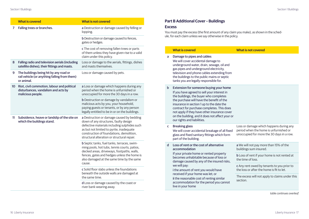|    | <b>What is covered</b>                                                                                     | <b>What is not covered</b>                                                                                                                                                                                                                      | <b>Part B Additional Cove</b>                                                                                                                        |
|----|------------------------------------------------------------------------------------------------------------|-------------------------------------------------------------------------------------------------------------------------------------------------------------------------------------------------------------------------------------------------|------------------------------------------------------------------------------------------------------------------------------------------------------|
| 7  | Falling trees or branches.                                                                                 | a Destruction or damage caused by felling or<br>lopping.                                                                                                                                                                                        | <b>Excess</b><br>You must pay the excess (the                                                                                                        |
|    |                                                                                                            | <b>b</b> Destruction or damage caused to fences,<br>gates or hedges.                                                                                                                                                                            | ule, for each claim unless we s                                                                                                                      |
|    |                                                                                                            | c The cost of removing fallen trees or parts<br>of them unless they have given rise to a valid<br>claim under this policy.                                                                                                                      | <b>What is covered</b><br>Damage to pipes and o<br>a                                                                                                 |
| 8  | Falling radio and television aerials (including<br>satellite dishes), their fittings and masts.            | Loss or damage to the aerials, fittings, dishes<br>and masts themselves.                                                                                                                                                                        | We will cover accidenta<br>underground water, dr<br>gas pipes and undergro                                                                           |
| 9  | The buildings being hit by any road or<br>rail vehicle (or anything falling from them)<br>or animal.       | Loss or damage caused by pets.                                                                                                                                                                                                                  | television and phone c<br>the buildings to the pul<br>tanks you are legally re                                                                       |
|    | 10 Riot, civil commotion, labour and political<br>disturbances, vandalism and acts by<br>malicious people. | a Loss or damage which happens during any<br>period when the home is unfurnished or<br>unoccupied for more the 30 days in a row.                                                                                                                | <b>Extension for someon</b><br>$\mathbf b$<br>If you have agreed to se<br>the buildings, the buye                                                    |
|    |                                                                                                            | <b>b</b> Destruction or damage by vandalism or<br>malicious acts by you, your household,<br>paying guests or tenants, or by any person<br>legally entitled to be in or on the buildings.                                                        | the purchase will have<br>insurance in section 1 u<br>contract for purchase o<br>not apply if they have o                                            |
| 11 | Subsidence, heave or landslip of the site on<br>which the buildings stand.                                 | a Destruction or damage caused by bedding<br>down of any structures, faulty design                                                                                                                                                              | on the building, and it<br>our rights and liabilities                                                                                                |
|    |                                                                                                            | defective materials including sulphides such<br>as but not limited to pyrite, inadequate<br>construction of foundations, demolition,<br>structural alteration or structural repair.                                                             | <b>Breaking glass</b><br>c<br>We will cover accidenta<br>glass and fixed sanitary<br>part of the building.                                           |
|    |                                                                                                            | b Septic tanks, fuel tanks, terraces, swim-<br>ming pools, hot tubs, tennis courts, patios,<br>decked areas, driveways, footpaths, walls,<br>fences, gates and hedges unless the home is<br>also damaged at the same time by the same<br>cause. | Loss of rent or the cos<br><sub>d</sub><br>accommodation<br>If your private home or<br>becomes unhabitable l<br>damage caused by any<br>we will pay: |
|    |                                                                                                            | c Solid floor slabs unless the foundations<br>beneath the outside walls are damaged at<br>the same time.                                                                                                                                        | i the amount of rent yo<br>received if your home \<br>ji the reasonable cost of                                                                      |
|    |                                                                                                            | d Loss or damage caused by the coast or<br>river bank wearing away.                                                                                                                                                                             | accommodation for the<br>live in your home                                                                                                           |

# **Part – Buildings**

e first amount of any claim you make), as shown in the schedsay otherwise in the policy.

|             | <b>What is covered</b>                                                                                                                                                                                                                                                                                                                                                                                    | <b>What is not covered</b>                                                                                                     |
|-------------|-----------------------------------------------------------------------------------------------------------------------------------------------------------------------------------------------------------------------------------------------------------------------------------------------------------------------------------------------------------------------------------------------------------|--------------------------------------------------------------------------------------------------------------------------------|
| a           | Damage to pipes and cables<br>We will cover accidental damage to<br>underground water, drain, sewage, oil and<br>gas pipes and underground electricity,<br>television and phone cables extending from<br>the buildings to the public mains or septic<br>tanks you are legally responsible for.                                                                                                            |                                                                                                                                |
| $\mathbf b$ | Extension for someone buying your home<br>If you have agreed to sell your interest in<br>the buildings, the buyer who completes<br>the purchase will have the benefit of the<br>insurance in section 1 up to the date the<br>contract for purchase completes. This does<br>not apply if they have other insurance cover<br>on the building, and it does not affect your or<br>our rights and liabilities. |                                                                                                                                |
| c           | <b>Breaking glass</b><br>We will cover accidental breakage of all fixed<br>glass and fixed sanitary fittings which form<br>part of the building.                                                                                                                                                                                                                                                          | Loss or damage which happens during any<br>period when the home is unfurnished or<br>unoccupied for more the 30 days in a row. |
| d           | Loss of rent or the cost of alternative<br>accommodation                                                                                                                                                                                                                                                                                                                                                  | a We will not pay more than 15% of the<br>buildings sum insured.                                                               |
|             | If your private home or rented property<br>becomes unhabitable because of loss or<br>damage caused by any of the insured risks,<br>we will pay:<br>i the amount of rent you would have<br>received if your home was let; or<br>ii the reasonable cost of renting similar<br>accommodation for the period you cannot<br>live in your home                                                                  | <b>b</b> Loss of rent if your home is not rented at<br>the time of loss.                                                       |
|             |                                                                                                                                                                                                                                                                                                                                                                                                           | c Any rent owed by tenants to you prior to<br>the loss or after the home is fit to let.                                        |
|             |                                                                                                                                                                                                                                                                                                                                                                                                           | The excess will not apply to claims under this<br>section.                                                                     |

*table continues overleaf*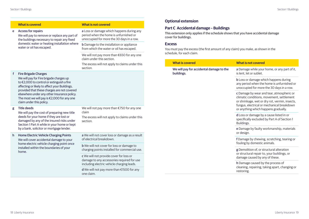|    | <b>What is covered</b>                                                                                                                                                                                                                                                                                                                       | <b>What is not covered</b>                                                                                                          |
|----|----------------------------------------------------------------------------------------------------------------------------------------------------------------------------------------------------------------------------------------------------------------------------------------------------------------------------------------------|-------------------------------------------------------------------------------------------------------------------------------------|
| e  | <b>Access for repairs</b><br>We will pay to remove or replace any part of<br>the buildings necessary to repair any fixed<br>domestic water or heating installation where<br>water or oil has escaped.                                                                                                                                        | a Loss or damage which happens during any<br>period when the home is unfurnished or<br>unoccupied for more the 30 days in a row.    |
|    |                                                                                                                                                                                                                                                                                                                                              | <b>b</b> Damage to the installation or appliance<br>from which the water or oil has escaped.                                        |
|    |                                                                                                                                                                                                                                                                                                                                              | We will not pay more than €650 for any one<br>claim under this section.<br>The excess will not apply to claims under this           |
|    |                                                                                                                                                                                                                                                                                                                                              | section.                                                                                                                            |
| f  | <b>Fire Brigade Charges</b><br>We will pay for Fire brigade charges up<br>to €2,000 to control or extinguish a fire<br>affecting or likely to affect your Buildings,<br>provided that these charges are not covered<br>elsewhere under any other Insurance policy.<br>The most we will pay is €2,000 for any one<br>claim under this policy. |                                                                                                                                     |
| g  | <b>Title deeds</b><br>We will pay the cost of preparing new title<br>deeds for your home if they are lost or<br>damaged by any of the insured risks under<br>Section 1 Part A while in your home or kept<br>by a bank, solicitor or mortgage lender.                                                                                         | We will not pay more than €750 for any one<br>claim<br>The excess will not apply to claims under this<br>section.                   |
| h. | Home Electric Vehicle Charging Points<br>We will cover accidental damage to your<br>home electric vehicle charging point once<br>installed within the boundaries of your<br>home.                                                                                                                                                            | a We will not cover loss or damage as a result<br>of electrical breakdown.                                                          |
|    |                                                                                                                                                                                                                                                                                                                                              | <b>b</b> We will not cover for loss or damage to<br>charging points installed for commercial use.                                   |
|    |                                                                                                                                                                                                                                                                                                                                              | c We will not provide cover for loss or<br>damage to any accessories required for use<br>including electric vehicle charging leads. |
|    |                                                                                                                                                                                                                                                                                                                                              | d We will not pay more than €1500 for any<br>one claim.                                                                             |

# **Optional extension**

# **Part C Accidental damage – Buildings**

This extension only applies if the schedule shows that you have accidental damage cover for buildings.

# **Excess**

You must pay the excess (the first amount of any claim) you make, as shown in the schedule, for each claim.

| <b>What is covered</b>                                                                                                      | <b>What is not covered</b>                                                                                                                                                                                                     |
|-----------------------------------------------------------------------------------------------------------------------------|--------------------------------------------------------------------------------------------------------------------------------------------------------------------------------------------------------------------------------|
| We will pay for accidental damage to the<br>is lent. let or sublet.<br>buildings.<br>Buildings.<br>or design.<br>restoring. | a Damage while your home, or any part of it,                                                                                                                                                                                   |
|                                                                                                                             | <b>b</b> Loss or damage which happens during<br>any period when the home is unfurnished or<br>unoccupied for more the 30 days in a row.                                                                                        |
|                                                                                                                             | c Damage by wear and tear, atmospheric or<br>climatic conditions, movement, settlement<br>or shrinkage, wet or dry rot, vermin, insects,<br>fungus, electrical or mechanical breakdown<br>or anything which happens gradually. |
|                                                                                                                             | d Loss or damage by a cause listed in or<br>specifically excluded by Part A of Section 1                                                                                                                                       |
|                                                                                                                             | e Damage by faulty workmanship, materials                                                                                                                                                                                      |
|                                                                                                                             | f Damage by chewing, scratching, tearing or<br>fouling by domestic animals.                                                                                                                                                    |
|                                                                                                                             | g Demolition of, or structural alteration<br>or structural repair to, your buildings, or<br>damage caused by any of these.                                                                                                     |
|                                                                                                                             | h Damage caused by the process of<br>cleaning, repairing, taking apart, changing or                                                                                                                                            |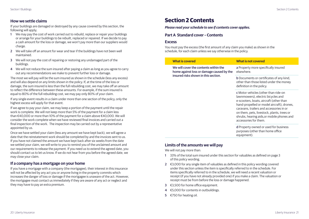### <span id="page-11-0"></span>**How we settle claims**

If your buildings are damaged or destroyed by any cause covered by this section, the following will apply;

- 1 We may pay the cost of work carried out to rebuild, replace or repair your buildings or arrange for your buildings to be rebuilt, replaced or repaired. If we decide to pay a cash amount for the loss or damage, we won't pay more than our suppliers would charge.
- 2 We will take off an amount for wear and tear if the buildings have not been well maintained.
- 3 We will not pay the cost of repairing or restoring any undamaged part of the buildings.
- 4 We will not reduce the sum insured after paying a claim as long as you agree to carry out any recommendations we make to prevent further loss or damage.

The most we will pay will be the sum insured as shown in the schedule (less any excess) and will also depend on any limits shown in the policy. If, at the time of the loss or damage, the sum insured is less than the full rebuilding cost, we may take off an amount to reflect the difference between these amounts. For example, if the sum insured is equal to 80% of the full rebuilding cost, we may pay only 80% of your claim.

If any single event results in a claim under more than one section of the policy, only the highest excess will apply for that event.

If we agree to pay your claim, we may keep a portion of the payment until the repair work is complete. We will not keep more than 5% of the payment for a claim less than €40,000 or more than 10% of the payment for a claim above €40,000. We will consider the work complete when we have reviewed final invoices and carried out a final inspection of the work. The inspection may be carried out by a representative appointed by us.

Once we have settled your claim (less any amount we have kept back), we will agree a date that the reinstatement work should be completed by and the invoices sent to us. If you have not claimed the amount we have kept back after six weeks from the date we settled your claim, we will write to you to remind you of the unclaimed amount and our requirements to release the payment. If you need us to extend the agreed date, you should contact us to let us know. If we do not hear from you before the agreed date, we may close your claim.

## **If a company has a mortgage on your home**

If you have a mortgage with a company (the mortgagee), their interest in this insurance will not be affected by any act you or anyone living in the property commits which increases the danger of loss or damage if the mortgagee is unaware of the act. However, the mortgagee must contact us immediately if they are aware of any act or neglect and they may have to pay an extra premium.

# **Section 2 Contents**

*Please read your schedule to see if contents cover applies.*

# **Part A Standard cover – Contents**

### **Excess**

You must pay the excess (the first amount of any claim you make) as shown in the schedule, for each claim unless we say otherwise in the policy.

| <b>What is covered</b>                                                                                                                                  | <b>What is not covered</b>                                                                                                                                                                                                                                                                                                                  |
|---------------------------------------------------------------------------------------------------------------------------------------------------------|---------------------------------------------------------------------------------------------------------------------------------------------------------------------------------------------------------------------------------------------------------------------------------------------------------------------------------------------|
| We will cover the contents within the<br>elsewhere.<br>home against loss or damage caused by the<br>insured risks shown in this section.<br>equipment). | a Property more specifically insured                                                                                                                                                                                                                                                                                                        |
|                                                                                                                                                         | <b>b</b> Documents or certificates of any kind,<br>other than those listed under the money<br>definition in the policy.                                                                                                                                                                                                                     |
|                                                                                                                                                         | <b>c</b> Motor vehicles (other than ride-on<br>lawnmowers), electric bicycles and<br>e-scooters, boats, aircraft (other than<br>hand-propelled or model aircraft), drones,<br>caravans, trailers and accessories in or<br>on them, pets, livestock, plants, trees or<br>shrubs, hearing aids, or mobile phones and<br>accessories for them. |
|                                                                                                                                                         | d Property owned or used for business<br>purposes (other than home office                                                                                                                                                                                                                                                                   |

# **Limits of the amounts we will pay**

We will not pay more than:

- 1 33% of the total sum insured under this section for valuables as defined on page 3 of this policy wording.
- 2 €3,000 for any single item of valuables as defined in this policy wording covered under this section unless the item is specifically referred to in the schedule. For items specifically referred to in the schedule, we will need a recent valuation or receipt (if you have not already provided one) if you make a claim. The valuation or receipt must be from before the loss or damage happened.
- 3 €3,500 for home office equipment.
- 4 €5,000 for contents in outbuildings.
- 5 €750 for heating oil.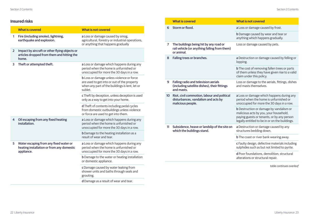# **Insured risks**

|                | <b>What is covered</b>                                                                               | <b>What is not covered</b>                                                                                                                                   |
|----------------|------------------------------------------------------------------------------------------------------|--------------------------------------------------------------------------------------------------------------------------------------------------------------|
| 1              | Fire (including smoke), lightning,<br>earthquake and explosion.                                      | a Loss or damage caused by smog,<br>agricultural, forestry or industrial operations,<br>or anything that happens gradually                                   |
| $\overline{2}$ | Impact by aircraft or other flying objects or<br>articles dropped from them and hitting the<br>home. |                                                                                                                                                              |
| 3              | Theft or attempted theft.                                                                            | a Loss or damage which happens during any<br>period when the home is unfurnished or<br>unoccupied for more the 30 days in a row.                             |
|                |                                                                                                      | <b>b</b> Loss or damage unless violence or force<br>are used to get into or out of the property<br>when any part of the buildings is lent, let or<br>sublet. |
|                |                                                                                                      | c Theft by deception, unless deception is used<br>only as a way to get into your home.                                                                       |
|                |                                                                                                      | d Theft of contents including pedal cycles<br>from domestic outbuildings unless violence<br>or force are used to get into them.                              |
| 4              | Oil escaping from any fixed heating<br>installation.                                                 | a Loss or damage which happens during any<br>period when the home is unfurnished or<br>unoccupied for more the 30 days in a row.                             |
|                |                                                                                                      | <b>b</b> Damage to the heating installation as a<br>result of wear and tear.                                                                                 |
| 5              | Water escaping from any fixed water or<br>heating installation or from any domestic<br>appliance.    | a Loss or damage which happens during any<br>period when the home is unfurnished or<br>unoccupied for more the 30 days in a row.                             |
|                |                                                                                                      | <b>b</b> Damage to the water or heating installation<br>or domestic appliance.                                                                               |
|                |                                                                                                      | c Damage caused by water leaking from<br>shower units and baths through seals and<br>grouting.                                                               |
|                |                                                                                                      | d Damage as a result of wear and tear.                                                                                                                       |

|                                                                                                               | <b>What is covered</b>                                                                                                           | <b>What is not covered</b>                                                                                                                                                               |
|---------------------------------------------------------------------------------------------------------------|----------------------------------------------------------------------------------------------------------------------------------|------------------------------------------------------------------------------------------------------------------------------------------------------------------------------------------|
| Storm or flood.<br>6                                                                                          |                                                                                                                                  | a Loss or damage caused by frost.                                                                                                                                                        |
|                                                                                                               | <b>b</b> Damage caused by wear and tear or<br>anything which happens gradually.                                                  |                                                                                                                                                                                          |
| $\overline{7}$                                                                                                | The buildings being hit by any road or<br>rail vehicle (or anything falling from them)<br>or animal.                             | Loss or damage caused by pets.                                                                                                                                                           |
| Falling trees or branches.<br>8                                                                               | a Destruction or damage caused by felling or<br>lopping.                                                                         |                                                                                                                                                                                          |
|                                                                                                               |                                                                                                                                  | <b>b</b> The cost of removing fallen trees or parts<br>of them unless they have given rise to a valid<br>claim under this policy.                                                        |
| 9                                                                                                             | Falling radio and television aerials<br>(including satellite dishes), their fittings<br>and masts.                               | Loss or damage to the aerials, fittings, dishes<br>and masts themselves.                                                                                                                 |
| Riot, civil commotion, labour and political<br>10<br>disturbances, vandalism and acts by<br>malicious people. | a Loss or damage which happens during any<br>period when the home is unfurnished or<br>unoccupied for more the 30 days in a row. |                                                                                                                                                                                          |
|                                                                                                               |                                                                                                                                  | <b>b</b> Destruction or damage by vandalism or<br>malicious acts by you, your household,<br>paying guests or tenants, or by any person<br>legally entitled to be in or on the buildings. |
| 11                                                                                                            | Subsidence, heave or landslip of the site on<br>which the buildings stand.                                                       | a Destruction or damage caused by any<br>structures bedding down.                                                                                                                        |
|                                                                                                               |                                                                                                                                  | <b>b</b> The coast or river bank wearing away.                                                                                                                                           |
|                                                                                                               |                                                                                                                                  | c Faulty design, defective materials including<br>sulphides such as but not limited to pyrite.                                                                                           |
|                                                                                                               |                                                                                                                                  | d Poor foundations, demolition, structural<br>alterations or structural repair.                                                                                                          |
|                                                                                                               |                                                                                                                                  | table continues overleaf                                                                                                                                                                 |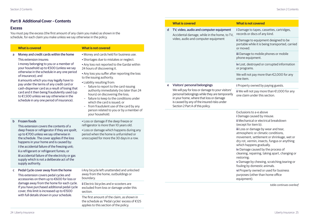## **Part B Additional Cover – Contents**

#### **Excess**

You must pay the excess (the first amount of any claim you make) as shown in the schedule, for each claim you make unless we say otherwise in the policy.

# a Money and credit cards within the home

This extension insures:

i money belonging to you or a member of your household up to €500 (unless we say otherwise in the schedule in any one period of insurance); and

ii amounts which you may legally have to pay under the terms of any credit card or cash-dispenser card as a result of losing that card and it then being fraudulently used (up to €1,500 unless we say otherwise in the schedule in any one period of insurance).

#### **What is covered What is not covered**

- Money and cards held for business use.
- Shortages due to mistakes or neglect.
- Any loss not reported to the Gardai within 24 hours of discovering it.
- Any loss you suffer after reporting the loss to the issuing authority.
- Liability resulting from:
- failure to report to the card-issuing authority immediately (no later than 24 hours) on discovering the loss;
- failure to keep to the conditions under which the card is issued; or
- from fraudulent use of the card by any person related to you or by a member of your household.

#### b Frozen foods

This extension covers the contents of a deep freeze or refrigerator if they are spoilt, up to €700 unless we say otherwise in the schedule. The cover applies if the loss happens in your home and is caused by: i the accidental failure of the freezing unit; ii a refrigerant or refrigerant fumes; or iii accidental failure of the electricity or gas supply which is not a deliberate act of the supply authority.

c Pedal Cycle cover away from the home This extension covers pedal cycles and accessories on them up to €600 for loss or damage away from the home for each cycle. If you have purchased additional pedal cycle cover, this limit is increased up to €1500 with full details shown in your schedule.

• Loss or damage if the deep freeze or refrigerator is more than 10 years old.

• Loss or damage which happens during any period when the home is unfurnished or unoccupied for more the 30 days in a row.

i Any bicycle left unattended and unlocked away from the home, outbuildings or boundary.

ii Electric bicycles and e-scooters are excluded from loss or damage under this section.

The first amount of the claim, as shown in the schedule as 'Pedal cycles' excess of €125 applies to this section of the policy.

|                                                                                                                                     | <b>What is covered</b>                                                                                                                                                                                                           | <b>What is not covered</b>                                                                                                                                                                                                                                                                                                                                                                                                                                                                                                                                                                                                                  |
|-------------------------------------------------------------------------------------------------------------------------------------|----------------------------------------------------------------------------------------------------------------------------------------------------------------------------------------------------------------------------------|---------------------------------------------------------------------------------------------------------------------------------------------------------------------------------------------------------------------------------------------------------------------------------------------------------------------------------------------------------------------------------------------------------------------------------------------------------------------------------------------------------------------------------------------------------------------------------------------------------------------------------------------|
| d<br>TV, video, audio and computer equipment<br>Accidental damage, while in the home, to TV,<br>video, audio and computer equipment |                                                                                                                                                                                                                                  | i Damage to tapes, cassettes, cartridges,<br>records or discs of any kind.                                                                                                                                                                                                                                                                                                                                                                                                                                                                                                                                                                  |
|                                                                                                                                     | ii Damage to equipment designed to be<br>portable while it is being transported, carried<br>or moved.                                                                                                                            |                                                                                                                                                                                                                                                                                                                                                                                                                                                                                                                                                                                                                                             |
|                                                                                                                                     |                                                                                                                                                                                                                                  | iii Damage to mobile phones or mobile<br>phone equipment.                                                                                                                                                                                                                                                                                                                                                                                                                                                                                                                                                                                   |
|                                                                                                                                     |                                                                                                                                                                                                                                  | iv Lost, destroyed or corrupted information<br>or programs.                                                                                                                                                                                                                                                                                                                                                                                                                                                                                                                                                                                 |
|                                                                                                                                     |                                                                                                                                                                                                                                  | We will not pay more than $E$ 2,000 for any<br>one item.                                                                                                                                                                                                                                                                                                                                                                                                                                                                                                                                                                                    |
| e                                                                                                                                   | Visitors' personal belongings                                                                                                                                                                                                    | i Property owned by paying guests.                                                                                                                                                                                                                                                                                                                                                                                                                                                                                                                                                                                                          |
|                                                                                                                                     | We will pay for loss or damage to your visitors'<br>personal belongings while they are temporarily<br>in your home, where that loss or damage<br>is caused by any of the insured risks under<br>Section 2 Part A of this policy. | ii We will not pay more than €1,000 for any<br>one claim under this section.                                                                                                                                                                                                                                                                                                                                                                                                                                                                                                                                                                |
|                                                                                                                                     |                                                                                                                                                                                                                                  | Exclusions to a-e above<br>i Damage caused by misuse.<br>ii Mechanical or electrical breakdown<br>(except for item b).<br>iii Loss or damage by wear and tear,<br>atmospheric or climatic conditions,<br>movement, settlement or shrinkage, wet or<br>dry rot, vermin, insects, fungus or anything<br>which happens gradually.<br>iv Damage caused by the process of<br>cleaning, repairing, taking apart, changing or<br>restoring;<br>v Damage by chewing, scratching, tearing or<br>fouling by domestic animals.<br>vi Property owned or used for business<br>purposes (other than home office<br>equipment).<br>table continues overlea |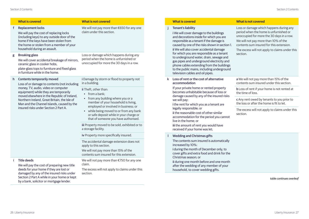#### **What is covered What is not covered**

#### f Replacement locks

We will pay the cost of replacing locks (including keys) to any outside door of the home if the keys have been stolen from the home or stolen from a member of your household during an assault.

#### g Breaking glass

We will cover accidental breakage of mirrors. ceramic glass in cooker hobs, plate-glass tops to furniture and fixed glass in furniture while in the home.

#### h Contents temporarily moved

Loss of or damage to contents (not including money, TV, audio, video or computer equipment) while they are temporarily moved elsewhere in the Republic of Ireland, Northern Ireland, Great Britain, the Isle of Man and the Channel Islands, caused by the insured risks under Section 2 Part A.

We will pay the cost of preparing new title deeds for your home if they are lost or damaged by any of the insured risks under Section 2 Part A while in your home or kept by a bank, solicitor or mortgage lender.

We will not pay more than €650 for any one claim under this section.

Loss or damage which happens during any period when the home is unfurnished or unoccupied for more the 30 days in a row.

i Damage by storm or flood to property not in a building.

ii Theft, other than:

- from a bank;
- from any building where you or a member of your household is living, employed or involved in business; or
- while being moved to or from any bank or safe deposit while in your charge or that of someone you have authorised.

iii Property moved to be sold, exhibited or to a storage facility.

iv Property more specifically insured.

The accidental damage extension does not apply to this section.

We will not pay more than 15% of the contents sum insured for this extension.

We will not pay more than €750 for any one claim.

The excess will not apply to claims under this section.

#### Tenant's liability

i We will cover damage to the buildings and decorations inside for which you are responsible as a tenant if the damage is caused by one of the risks shown in section 1. ii We will also cover accidental damage for which you are responsible as a tenant to underground water, drain, sewage and gas pipes and underground electricity and phone cables extending from the buildings to the public mains, including underground television cables and oil pipes.

k Loss of rent or the cost of alternative accommodation

If your private home or rented property becomes unhabitable because of loss or damage caused by any of the insured risks we will pay: i the rent for which you as a tenant are legally responsible; or

ii the reasonable cost of other similar accommodation for the period you cannot live in the home; or iii the amount of rent you would have received if your home was let;

#### Wedding and Christmas gifts

The contents sum insured is automatically increased by 10%: i during the month of December only, to cover gifts and extra food and drink for the Christmas season; or ii during one month before and one month after the wedding of any member of your household, to cover wedding gifts.

#### **What is covered What is not covered**

Loss or damage which happens during any period when the home is unfurnished or unoccupied for more the 30 days in a row. We will not pay more than 10% of the contents sum insured for this extension. The excess will not apply to claims under this section. a We will not pay more than 15% of the contents sum insured under this section. b Loss of rent if your home is not rented at the time of loss. c Any rent owed by tenants to you prior to the loss or after the home is fit to let. The excess will not apply to claims under this section.

*table continues overleaf*

Title deeds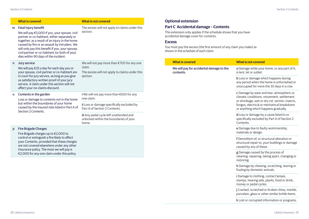|              | <b>What is covered</b>                                                                                                                                                                                                                                                                                                                                               | <b>What is not covered</b>                                                                                         |
|--------------|----------------------------------------------------------------------------------------------------------------------------------------------------------------------------------------------------------------------------------------------------------------------------------------------------------------------------------------------------------------------|--------------------------------------------------------------------------------------------------------------------|
| m            | Fatal injury benefit<br>We will pay €5,000 if you, your spouse, civil<br>partner or co-habitant, either separately or<br>together, as a result of an injury in the home<br>caused by fire or an assault by intruders. We<br>will only pay this benefit if you, your spouse,<br>civil partner or co-habitant (or both of you)<br>dies within 90 days of the incident. | The excess will not apply to claims under this<br>section.                                                         |
| $\mathsf{n}$ | Jury service<br>We will pay €25 a day for each day you or<br>your spouse, civil partner or co-habitant are<br>in court for jury service, as long as you give<br>us satisfactory written proof of your jury<br>service. A claim under this section will not<br>affect your no-claims discount.                                                                        | We will not pay more than €700 for any one<br>claim.<br>The excess will not apply to claims under this<br>section. |
| O            | Contents in the garden<br>Loss or damage to contents not in the home<br>but within the boundaries of your home<br>caused by the insured risks listed in Part A of<br>Section 2 Contents.                                                                                                                                                                             | i We will not pay more than €650 for any<br>one claim.                                                             |
|              |                                                                                                                                                                                                                                                                                                                                                                      | ii Loss or damage specifically excluded by<br>Part A of Section 2 Contents.                                        |
|              |                                                                                                                                                                                                                                                                                                                                                                      | iii Any pedal cycle left unattended and<br>unlocked within the boundaries of your<br>home.                         |
| p            | <b>Fire Brigade Charges</b><br>Fire Brigade charges up to €2,000 to<br>control or extinguish a fire likely to affect<br>your Contents, provided that these charges<br>are not covered elsewhere under any other<br>Insurance policy. The most we will pay is<br>€2,000 for any one claim under this policy.                                                          |                                                                                                                    |

## **Optional extension**

# **Part C Accidental damage – Contents**

This extension only applies if the schedule shows that you have accidental damage cover for contents.

### **Excess**

You must pay the excess (the first amount of any claim you make) as shown in the schedule of each claim.

| <b>What is covered</b>                                | <b>What is not covered</b>                                                                                                                                                                                                     |
|-------------------------------------------------------|--------------------------------------------------------------------------------------------------------------------------------------------------------------------------------------------------------------------------------|
| We will pay for accidental damage to the<br>contents. | a Damage while your home, or any part of it,<br>is lent. let or sublet.                                                                                                                                                        |
|                                                       | <b>b</b> Loss or damage which happens during<br>any period when the home is unfurnished or<br>unoccupied for more the 30 days in a row.                                                                                        |
|                                                       | c Damage by wear and tear, atmospheric or<br>climatic conditions, movement, settlement<br>or shrinkage, wet or dry rot, vermin, insects,<br>fungus, electrical or mechanical breakdown<br>or anything which happens gradually. |
|                                                       | <b>d</b> Loss or damage by a cause listed in or<br>specifically excluded by Part A of Section 2<br>Contents.                                                                                                                   |
|                                                       | e Damage due to faulty workmanship,<br>materials or design.                                                                                                                                                                    |
|                                                       | f Demolition of, or structural alteration or<br>structural repair to, your buildings or damage<br>caused by any of these.                                                                                                      |
|                                                       | g Damage caused by the process of<br>cleaning, repairing, taking apart, changing or<br>restoring.                                                                                                                              |
|                                                       | h Damage by chewing, scratching, tearing or<br>fouling by domestic animals.                                                                                                                                                    |
|                                                       | i Damage to clothing, contact lenses,<br>stamps, hearing aids, plants, food or drink,<br>money or pedal cycles.                                                                                                                |
|                                                       | j Cracked, scratched or broken china, marble,<br>porcelain, glass or other similar brittle items.                                                                                                                              |

k Lost or corrupted information or programs.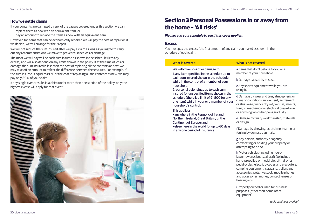### <span id="page-16-0"></span>**How we settle claims**

If your contents are damaged by any of the causes covered under this section we can:

- replace them as new with an equivalent item; or
- pay an amount to replace the items as new with an equivalent item.

However, for items that can be economically repaired we will pay the cost of repair or, if we decide, we will arrange for their repair.

We will not reduce the sum insured after we pay a claim as long as you agree to carry out any recommendations we make to prevent further loss or damage.

The most we will pay will be each sum insured as shown in the schedule (less any excess) and will also depend on any limits shown in the policy. If at the time of loss or damage the sum insured is less than the cost of replacing all the contents as new, we may take off an amount to reflect the difference between these values. For example, if the sum insured is equal to 80% of the cost of replacing all the contents as new, we may pay only 80% of your claim.

If any single event results in a claim under more than one section of the policy, only the highest excess will apply for that event.



# **Section 3 Personal Possessions in or away from the home – 'All risks'**

#### *Please read your schedule to see if this cover applies.*

#### **Excess**

You must pay the excess (the first amount of any claim you make) as shown in the schedule of each claim.

| <b>What is covered</b>                                                                                                                                                                                                                                                                                                                                                                                                                                                                                                                                                                                                  | <b>What is not covered</b>                                                                                                                                                                                                                                                                                                |
|-------------------------------------------------------------------------------------------------------------------------------------------------------------------------------------------------------------------------------------------------------------------------------------------------------------------------------------------------------------------------------------------------------------------------------------------------------------------------------------------------------------------------------------------------------------------------------------------------------------------------|---------------------------------------------------------------------------------------------------------------------------------------------------------------------------------------------------------------------------------------------------------------------------------------------------------------------------|
| We will cover loss of or damage to:<br>1. any item specified in the schedule up to<br>each sum insured shown in the schedule<br>while in the control of a member of your<br>household:<br>2. personal belongings up to each sum<br>insured for unspecified items shown in the<br>schedule (there is a limit of €1,500 for any<br>one item) while in your or a member of your<br>household's control.<br>This applies:<br>• anywhere in the Republic of Ireland,<br>Northern Ireland, Great Britain, or the<br>Continent of Europe; and<br>• elsewhere in the world for up to 60 days<br>in any one period of insurance. | a Items that don't belong to you or a<br>member of your household.                                                                                                                                                                                                                                                        |
|                                                                                                                                                                                                                                                                                                                                                                                                                                                                                                                                                                                                                         | <b>b</b> Damage caused by misuse.                                                                                                                                                                                                                                                                                         |
|                                                                                                                                                                                                                                                                                                                                                                                                                                                                                                                                                                                                                         | c Any sports equipment while you are<br>using it.                                                                                                                                                                                                                                                                         |
|                                                                                                                                                                                                                                                                                                                                                                                                                                                                                                                                                                                                                         | d Damage by wear and tear, atmospheric or<br>climatic conditions, movement, settlement<br>or shrinkage, wet or dry rot, vermin, insects,<br>fungus, mechanical or electrical breakdown<br>or anything which happens gradually.                                                                                            |
|                                                                                                                                                                                                                                                                                                                                                                                                                                                                                                                                                                                                                         | e Damage by faulty workmanship, materials<br>or design                                                                                                                                                                                                                                                                    |
|                                                                                                                                                                                                                                                                                                                                                                                                                                                                                                                                                                                                                         | f Damage by chewing, scratching, tearing or<br>fouling by domestic animals.                                                                                                                                                                                                                                               |
|                                                                                                                                                                                                                                                                                                                                                                                                                                                                                                                                                                                                                         | g Any person, authority or agency<br>confiscating or holding your property or<br>attempting to do so.                                                                                                                                                                                                                     |
|                                                                                                                                                                                                                                                                                                                                                                                                                                                                                                                                                                                                                         | h Motor vehicles (including ride-on<br>lawnmowers), boats, aircraft (to include<br>hand-propelled or model aircraft), drones,<br>pedal cycles, electric bicycles and e-scooters,<br>camping equipment, caravans, trailers and<br>accessories, pets, livestock, mobile phones<br>and accessories, money, contact lenses or |

hearing aids.

i Property owned or used for business purposes (other than home office equipment).

*table continues overleaf*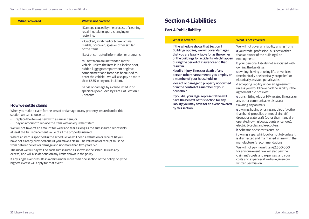<span id="page-17-0"></span>

| <b>What is covered</b> | <b>What is not covered</b>                                                                                                                                                                                                                                            |
|------------------------|-----------------------------------------------------------------------------------------------------------------------------------------------------------------------------------------------------------------------------------------------------------------------|
|                        | j Damage caused by the process of cleaning,<br>repairing, taking apart, changing or<br>restoring.                                                                                                                                                                     |
|                        | k Cracked, scratched or broken china,<br>marble, porcelain, glass or other similar<br>brittle items.                                                                                                                                                                  |
|                        | I Lost or corrupted information or programs                                                                                                                                                                                                                           |
|                        | <b>m</b> Theft from an unattended motor<br>vehicle, unless the item is in a locked boot.<br>hidden luggage compartment or glove<br>compartment and force has been used to<br>enter the vehicle - we will also pay no more<br>than $\epsilon$ 635 in any one incident. |
|                        | n Loss or damage by a cause listed in or<br>specifically excluded by Part A of Section 2<br>Contents.                                                                                                                                                                 |

### **How we settle claims**

When you make a claim for the loss of or damage to any property insured under this section we can choose to:

- replace the item as new with a similar item; or
- pay an amount to replace the item with an equivalent item.

We will not take off an amount for wear and tear as long as the sum insured represents at least the full replacement value of all the property insured.

Where an item is specified in the schedule we will need a valuation or receipt (if you have not already provided one) if you make a claim. The valuation or receipt must be from before the loss or damage and not more than two years old.

The most we will pay will be each sum insured as shown in the schedule (less any excess) and will also depend on any limits shown in the policy.

If any single event results in a claim under more than one section of the policy, only the highest excess will apply for that event.

# **Section 4 Liabilities**

# **Part A Public liability**

| <b>What is covered</b>                                                                                                                                                                                                                                                                                                                                                                                                                                                                                                                                          | <b>What is not covered</b>                                                                                                                                                                                                                                                                                                                                                                                                                                                                                                                                       |
|-----------------------------------------------------------------------------------------------------------------------------------------------------------------------------------------------------------------------------------------------------------------------------------------------------------------------------------------------------------------------------------------------------------------------------------------------------------------------------------------------------------------------------------------------------------------|------------------------------------------------------------------------------------------------------------------------------------------------------------------------------------------------------------------------------------------------------------------------------------------------------------------------------------------------------------------------------------------------------------------------------------------------------------------------------------------------------------------------------------------------------------------|
| If the schedule shows that Section 1<br>Buildings applies, we will cover damages<br>that you are legally liable for as the owner<br>of the buildings for accidents which happen<br>during the period of insurance and that<br>result in:<br>• bodily injury, illness or death of any<br>person other than someone you employ or<br>a member of your household; or<br>· loss of or damage to property not owned<br>or in the control of a member of your<br>household.<br>If you die, your legal representative will<br>have the benefit of this section for any | We will not cover any liability arising from:<br>a your trade, profession, business (other<br>than as owner of the buildings) or<br>employment;<br><b>b</b> your personal liability not associated with<br>owning the buildings;<br><b>c</b> owning, having or using lifts or vehicles<br>(mechanically or electrically propelled) or<br>electrically assisted pedal cycles;<br><b>d</b> accepting liability under an agreement<br>unless you would have had the liability if the<br>agreement did not exist;<br>e transmitting Aids or HIV-related illnesses or |
| liability you may have for an event covered<br>by this section.                                                                                                                                                                                                                                                                                                                                                                                                                                                                                                 | any other communicable diseases;<br>f owning any animals;<br>g owning, having or using any aircraft (other                                                                                                                                                                                                                                                                                                                                                                                                                                                       |

than hand-propelled or model aircraft), drones or watercraft (other than manuallyoperated rowing boats, punts or canoes), electric bicycles and e-scooters; h Asbestos or Asbestos dust; or

i owning a spa, whirlpool or hot tub unless it is disinfected and maintained in line with the manufacturer's recommendations.

We will not pay more than €2,600,000 for any one event. We will also pay the claimant's costs and expenses, and your costs and expenses if we have given our written permission.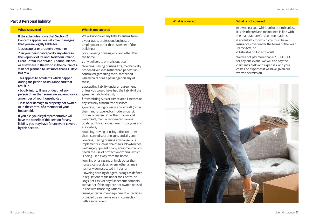### **Part B Personal liability**

#### **What is covered What is not covered**

If the schedule shows that Section 2 Contents applies, we will cover damages that you are legally liable for:

1. as occupier or property owner; or 2. in your personal capacity anywhere in the Republic of Ireland, Northern Ireland, Great Britain, Isle of Man, Channel Islands or elsewhere in the world in the course of a visit not planned to last more than 60 days in a row.

This applies to accidents which happen during the period of insurance and that result in:

• bodily injury, illness or death of any person other than someone you employ or a member of your household; or

• loss of or damage to property not owned or in the control of a member of your household.

If you die, your legal representative will have the benefit of this section for any liability you may have for an event covered by this section.

We will not cover any liability arising from: a your trade, profession, business or employment other than as owner of the buildings;

b you owning or using any land other than the home;

c any deliberate or malicious act;

d owning, having or using lifts, mechanically propelled vehicles (other than pedestriancontrolled gardening tools, motorised wheelchairs or as a passenger on any of these);

e accepting liability under an agreement unless you would have had the liability if the agreement did not exist;

f transmitting Aids or HIV-related illnesses or any sexually-transmitted diseases;

g owning, having or using any aircraft (other than hand-propelled or model aircraft), drones or watercraft (other than model watercraft, manually-operated rowing boats, punts or canoes), electric bicycles and e-scooters;

h owning, having or using a firearm other than licensed sporting guns and airguns; i owning, having or using any dangerous implement (such as chainsaws, blowtorches, welding equipment or any equipment which needs the use of protective clothing) which is being used away from the home; j owning or using any animals other than horses, cats or dogs, or any other animals normally domesticated in Ireland; k owning or using dangerous dogs as defined in regulations made under the Control of Dogs Act 1986 or any further amendments to that Act if the dogs are not owned or used in line with those regulations;

l using entertainment equipment or facilities provided by someone else in connection with a social event;

| Vhat is covered |  |  |
|-----------------|--|--|
|                 |  |  |

#### **What is covered What is not covered**

m owning a spa, whirlpool or hot tub unless it is disinfected and maintained in line with the manufacturer's recommendations; n any liability for which you must have insurance cover under the terms of the Road Traffic Acts; or

o Asbestos or Asbestos dust.

We will not pay more than €2,600,000 for any one event. We will also pay the claimant's costs and expenses, and your costs and expenses if we have given our written permission.

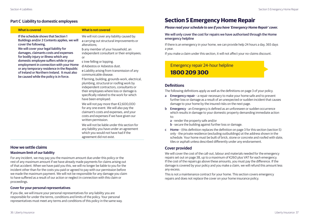### <span id="page-19-0"></span>**Part C Liability to domestic employees**

### **How we settle claims**

#### **Maximum limit of our liability**

For any incident, we may pay you the maximum amount due under this policy or the rest of any maximum amount if we have already made payments for claims arising out of that accident. When we have paid you this, we will no longer be liable to you for the incident other than for the costs you paid or agreed to pay with our permission before we made the maximum payment. We will not be responsible for any damage you claim to have suffered as a result of our action or neglect in connection with this claim or proceedings.

#### **Cover for your personal representatives**

If you die, we will insure your personal representatives for any liability you are responsible for under the terms, conditions and limits of the policy. Your personal representatives must meet any terms and conditions of this policy in the same way.

# **Section 5 Emergency Home Repair**

#### *Please read your schedule to see if you have 'Emergency Home Repair' cover.*

#### We will only cover the cost for repairs we have authorised through the Home emergency helpline

If there is an emergency in your home, we can provide help 24 hours a day, 365 days a year.

If you make a claim under this section, it will not affect your no-claims discount.

# Emergency repair 24-hour helpline **1800 209 300**

# **Definitions**

The following definitions apply as well as the definitions on page 3 of your policy.

- a Emergency repair a repair necessary to make your home safe and to prevent further loss or damage as a result of an unexpected or sudden incident that causes damage to your home by the insured risks on the next page.
- b Emergency an Emergency is defined as an unforeseen or sudden occurrence which results in damage to your domestic property demanding immediate action to:
	- a render the property safe and/or
	- b secure the building against further loss or damage.
- c Home (this definition replaces the definition on page 3 for this section (section 5) only - the private residence (excluding outbuildings) at the address shown in the schedule. Your home must be built of brick, stone or concrete and roofed with slate, tiles or asphalt unless described differently under any endorsement.

## **Cover provided**

We will cover the cost of the call-out, labour and materials needed for the emergency repairs set out on page 38, up to a maximum of €260 plus VAT for each emergency. If the cost of the repairs go above these amounts, you must pay the difference. If the damage is covered by your policy and you make a claim, we will refund this amount less any excess.

This is not a maintenance contract for your home. This section covers emergency repairs and does not replace the cover on your home insurance policy.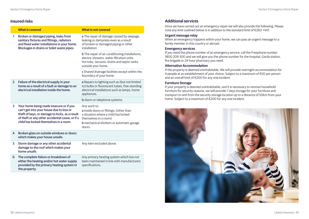### **Insured risks**

|                | <b>What is covered</b>                                                                                                                                                                                                             | <b>What is not covered</b>                                                                                                                                                             |
|----------------|------------------------------------------------------------------------------------------------------------------------------------------------------------------------------------------------------------------------------------|----------------------------------------------------------------------------------------------------------------------------------------------------------------------------------------|
| 1              | Broken or damaged piping, leaks from<br>sanitary fixtures and fittings, radiators<br>and fixed water installations in your home.<br>Blockages in drains or toilet waste pipes.                                                     | a The repair of damage caused by seepage,<br>leaking or dampness even as a result<br>of broken or damaged piping or other<br>installation.                                             |
|                |                                                                                                                                                                                                                                    | <b>b</b> The repair of air-conditioning installations,<br>electric showers, water-filtration units.<br>hot tubs, Jacuzzis, drains and septic tanks<br>outside your home.               |
|                |                                                                                                                                                                                                                                    | c Shared drainage facilities except within the<br>boundary of your home.                                                                                                               |
| $\overline{2}$ | Failure of the electrical supply in your<br>home as a result of a fault or damage to an<br>electrical installation inside the home.                                                                                                | a Repairs to lighting such as (but not limited<br>to) bulbs or fluorescent tubes, free-standing<br>electrical installations such as lamps, home<br>appliances.                         |
|                |                                                                                                                                                                                                                                    | <b>b</b> Alarm or telephone systems.                                                                                                                                                   |
| 3              | Your home being made insecure or if you<br>can't get into your house due to loss or<br>theft of keys, or damage to locks, as a result<br>of theft or any other accidental cause, or if a<br>child has locked themselves in a room. | Any work to:<br>a inside doors or fittings; (other than<br>a situation where a child has locked<br>themselves in a room)<br><b>b</b> mechanical shutters or automatic garage<br>doors. |
| $\overline{4}$ | Broken glass on outside windows or doors<br>which makes your house unsafe.                                                                                                                                                         |                                                                                                                                                                                        |
| 5              | Storm damage or any other accidental<br>damage to the roof which makes your<br>home unsafe.                                                                                                                                        | Any item excluded above.                                                                                                                                                               |
| 6              | The complete failure or breakdown of<br>either the heating and/or hot water supply<br>provided by the primary heating system in<br>the property.                                                                                   | Any primary heating system which has not<br>been maintained in line with manufacturers<br>specifications.                                                                              |

# **Additional services**

Once we have carried out an emergency repair we will also provide the following. Please note any limit outlined below is in addition to the standard limit of €260 +VAT

#### **Urgent message relay**

When an emergency happens within your home, we can pass an urgent message to a family member in this country or abroad.

#### **Emergency services**

If you need the phone number of an emergency service, call the Freephone number 1800 209 300 and we will give you the phone number for the hospital, Garda station, fire brigade or 24-hour pharmacy you need.

#### **Alternative Accommodation**

If the property is deemed uninhabitable. We will provide overnight accommodation for 4 people at an establishment of your choice. Subject to a maximum of €50 per person and an overall limit of €200 for any one incident.

#### **Furniture Storage**

If your property is deemed uninhabitable, and it is necessary to remove household furniture for security reasons, we will provide 7 days storage for your furniture and transport to and from the security storage location up to a distance of 50km from your home. Subject to a maximum of €200 for any one incident.

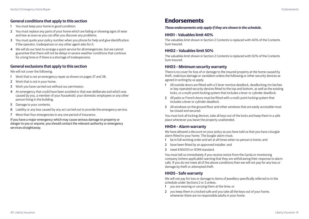# <span id="page-21-0"></span>**General conditions that apply to this section**

- 1 You must keep your home in good condition.
- 2 You must replace any parts of your home which are failing or showing signs of wear and tear as soon as you can after you discover any problems.
- 3 You must quote your policy number when you phone for help and give identification if the operator, tradesperson or any other agent asks for it.
- 4 We will do our best to arrange a quick service for all emergencies, but we cannot guarantee that there will not be delays in severe weather conditions that continue for a long time or if there is a shortage of tradespersons.

### **General exclusions that apply to this section**

We will not cover the following.

- 1 Work that is not an emergency repair as shown on pages 37 and 38.
- 2 Work that is not in your home.
- 3 Work you have carried out without our permission.
- 4 An emergency that could have been avoided or that was deliberate and which was caused by you, a member of your household, your domestic employees or any other person living in the building.
- 5 Damage to your contents.
- 6 Liability or any loss caused by any act carried out to provide the emergency service.
- 7 More than four emergencies in any one period of insurance.

If you have a major emergency which may cause serious damage to property or danger to you or anyone, you should contact the relevant authority or emergency services straightaway.

# **Endorsements**

*These endorsements only apply if they are shown in the schedule.*

### **HHD1 – Valuables limit 40%**

The valuables limit shown in Section 2 Contents is replaced with 40% of the Contents Sum Insured.

### **HHD2 – Valuables limit 50%**

The valuables limit shown in Section 2 Contents is replaced with 50% of the Contents Sum Insured.

### **HHD3 – Minimum security warranty**

There is no cover for loss of or damage to the insured property at the home caused by theft, malicious damage or vandalism unless the following or other security devices as agreed in writing by us apply.

- 1 All outside doors are fitted with a 5 lever mortice deadlock, deadlocking rim latches or key-operated security devices fitted to the top and bottom, as well as the existing locks, or a multi-point locking system that includes a lever or cylinder deadlock.
- 2 All patio or French doors must be fitted with a multi-point locking system that includes a lever or cylinder deadlock.
- 3 All windows on the ground floor and other windows that are easily accessible must be closed and secured.

You must lock all locking devices, take all keys out of the locks and keep them in a safe place whenever you leave the property unattended.

### **HHD4 – Alarm warranty**

We have allowed a discount on your policy as you have told us that you have a burglar alarm fitted to your home. The burglar alarm must;

- 1 be in full working order and set at all times when no person is home; and
- 2 have been fitted by an approved installer: and
- 3 meet EN50131 or IS199 standard.

You must tell us immediately if you receive notice from the Garda or monitoring company (where applicable) warning that they are withdrawing their response to alarm calls. If you do not meet all of the above conditions then we will not pay for any loss or damage by theft or attempted theft.

### **HHD5 – Safe warranty**

We will not pay for loss or damage to items of jewellery specifically referred to in the schedule under Sections 2 or 3 unless:

- 1 you are wearing or carrying them at the time; or
- 2 you keep them in a locked safe and you take all the keys out of your home, whenever there are no responsible adults in your home.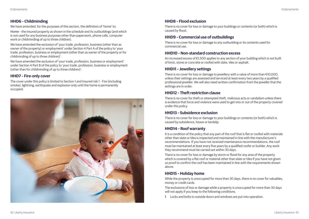# **HHD6 – Childminding**

We have amended, for the purposes of this section, the definition of 'home' to:

Home – the insured property as shown in the schedule and its outbuildings (and which is not used for any business purposes other than paperwork, phone calls, computer work or childminding of up to three children).

We have amended the exclusion of 'your trade, profession, business (other than as owner of the property) or employment' under Section 4 Part A of the policy to 'your trade, profession, business or employment (other than as owner of the property or for childminding of up to three children)'.

We have amended the exclusion of 'your trade, profession, business or employment' under Section 4 Part B of the policy to 'your trade, profession, business or employment (other than for childminding of up to three children)'.

# **HHD7 – Fire-only cover**

The cover under this policy is limited to Section 1 and Insured risk 1 - Fire (including smoke), lightning, earthquake and explosion only until the home is permanently occupied.



# **HHD8 – Flood exclusion**

There is no cover for loss or damage to your buildings or contents (or both) which is caused by flood.

# **HHD9 – Commercial use of outbuildings**

There is no cover for loss or damage to any outbuilding or its contents used for commercial use.

### **HHD10 – Non-standard construction excess**

An increased excess of €1,500 applies to any section of your building which is not built of brick, stone or concrete or roofed with slate, tiles or asphalt.

# **HHD11 – Jewellery settings**

There is no cover for loss or damage to jewellery with a value of more than €10,000, unless their settings are assessed and serviced at least every two years by a qualified professional jeweller. We will also need written confirmation from the jeweller that the settings are in order.

# **HHD12 – Theft restriction clause**

There is no cover for theft or attempted theft, malicious acts or vandalism unless there is evidence that force and violence were used to get into or out of the property covered under this policy.

# **HHD13 – Subsidence exclusion**

There is no cover for loss or damage to your buildings or contents (or both) which is caused by subsidence, heave or landslip.

# **HHD14 – Roof warranty**

It is a condition of the policy that any part of the roof that is flat or roofed with materials other than slate or tiles is inspected and maintained in line with the manufacturer's recommendations. If you have not received maintenance recommendations, the roof must be maintained at least every five years by a qualified roofer or builder. Any work they recommend must be carried out within 30 days.

There is no cover for loss or damage by storm or flood for any area of the property which is covered by a flat roof or material other than slate or tiles if you have not given us proof to confirm the roof has been maintained in line with the requirements shown above.

# **HHD15 – Holiday home**

While the property is unoccupied for more than 30 days, there is no cover for valuables, money or credit cards.

The exclusions of loss or damage while a property is unoccupied for more than 30 days will not apply if you keep to the following conditions.

1 Locks and bolts to outside doors and windows are put into operation.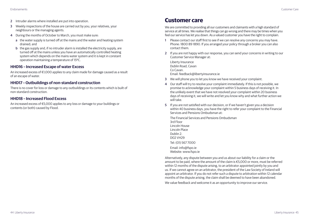- <span id="page-23-0"></span>2 Intruder alarms where installed are put into operation.
- 3 Weekly inspections of the house are carried out by you, your relatives, your neighbours or the managing agents.
- 4 During the months of October to March, you must make sure:
	- a the water supply is turned off at the mains and the water and heating system drained; and
	- b the gas supply and, if no intruder alarm is installed the electricity supply, are turned off at the mains unless you have an automatically controlled heating system which depends on the mains water system and it is kept in constant operation maintaining a temperature of 150C.

### **HHD16 – Increased Escape of water Excess**

An increased excess of €1,000 applies to any claim made for damage caused as a result of an escape of water.

### **HHD17 – Outbuildings of non-standard construction**

There is no cover for loss or damage to any outbuildings or its contents which is built of non-standard construction.

#### **HHD18 – Increased Flood Excess**

An increased excess of €5,000 applies to any loss or damage to your buildings or contents (or both) caused by Flood.

# **Customer care**

We are committed to providing all our customers and claimants with a high standard of service at all times. We realise that things can go wrong and there may be times when you feel our service has let you down. As a valued customer you have the right to complain.

- 1 Please contact our staff first to see if we can resolve any concerns you may have. Phone: 1800 89 1890. If you arranged your policy through a broker you can also contact them.
- 2 If you are not happy with our response, you can send your concerns in writing to our Customer Service Manager at:

Liberty Insurance Dublin Road, Cavan Co Cavan. Email: feedback@libertyinsurance.ie

- 3 We will phone you to let you know we have received your complaint.
- 4 Our staff will try to resolve your complaint immediately. If this is not possible, we promise to acknowledge your complaint within 5 business days of receiving it. In the unlikely event that we have not resolved your complaint within 20 business days of receiving it, we will write and let you know why and what further action we will take.
- 5 If you are not satisfied with our decision, or if we haven't given you a decision within 40 business days, you have the right to refer your complaint to the Financial Services and Pensions Ombudsman at:

The Financial Services and Pensions Ombudsman 3rd Floor Lincoln House Lincoln Place Dublin 2. D02 VH29 Tel: (01) 567 7000 Email: info@fspo.ie Website: www.fspo.ie

Alternatively, any dispute between you and us about our liability for a claim or the amount to be paid, where the amount of the claim is €5,000 or more, must be referred within 12 months of the dispute arising, to an arbitrator appointed jointly by you and us. If we cannot agree on an arbitrator, the president of the Law Society of Ireland will appoint an arbitrator. If you do not refer such a dispute to arbitration within 12 calendar months of the dispute arising, the claim shall be deemed to have been abandoned.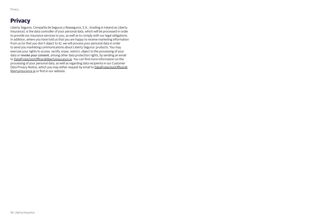# <span id="page-24-0"></span>**Privacy**

Liberty Seguros, Compañía de Seguros y Reaseguros, S.A., (trading in Ireland as Liberty Insurance), is the data controller of your personal data, which will be processed in order to provide our insurance services to you, as well as to comply with our legal obligations. In addition, where you have told us that you are happy to receive marketing information from us (or that you don't object to it), we will process your personal data in order to send you marketing communications about Liberty Seguros' products. You may exercise your rights to access, rectify, erase, restrict, object to the processing of your data or revoke your consent, among other data protection rights, by sending an email to DataProtectionOfficer@libertyinsurance.ie. You can find more information on the processing of your personal data, as well as regarding data recipients in our Customer Data Privacy Notice, which you may either request by email to DataProtectionOfficer@ libertyinsurance.ie or find in our website.